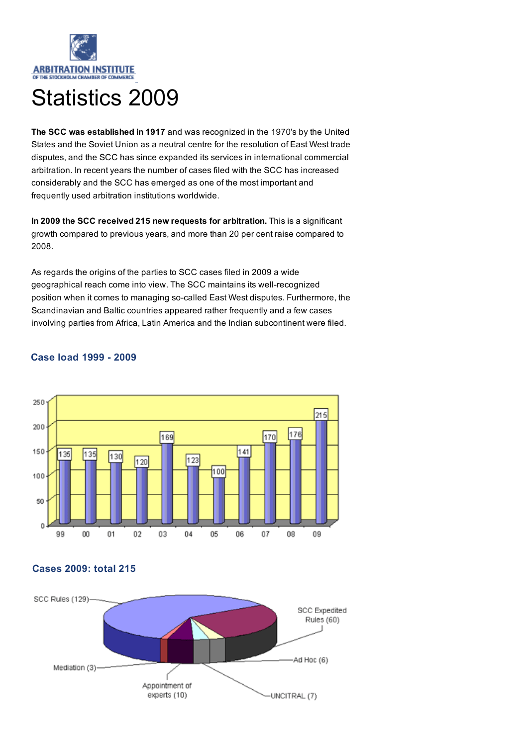

# Statistics 2009

The SCC was established in 1917 and was recognized in the 1970's by the United States and the Soviet Union as a neutral centre for the resolution of East West trade disputes, and the SCC has since expanded its services in international commercial arbitration. In recent years the number of cases filed with the SCC has increased considerably and the SCC has emerged as one of the most important and frequently used arbitration institutions worldwide.

In 2009 the SCC received 215 new requests for arbitration. This is a significant growth compared to previous years, and more than 20 per cent raise compared to 2008.

As regards the origins of the parties to SCC cases filed in 2009 a wide geographical reach come into view. The SCC maintains its well-recognized position when it comes to managing so-called East West disputes. Furthermore, the Scandinavian and Baltic countries appeared rather frequently and a few cases involving parties from Africa, Latin America and the Indian subcontinent were filed.



### Case load 1999 - 2009

## Cases 2009: total 215

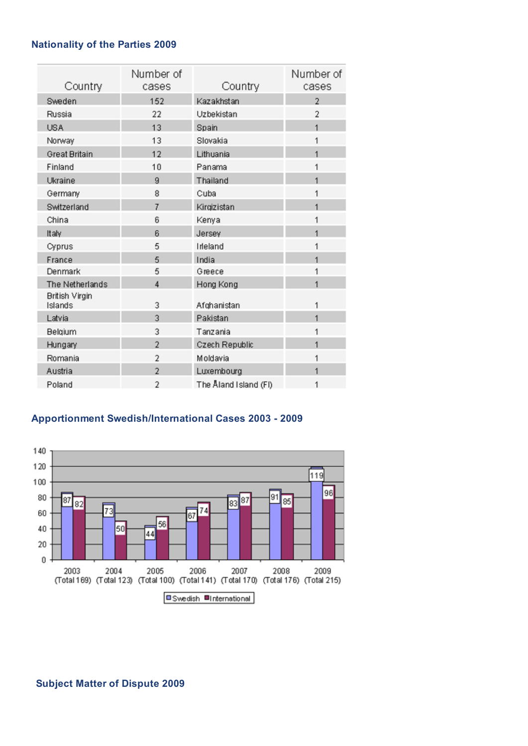## Nationality of the Parties 2009

| Country                          | Number of<br>cases | Country               | Number of<br>cases |
|----------------------------------|--------------------|-----------------------|--------------------|
| Sweden                           | 152                | Kazakhstan            | $\overline{2}$     |
| Russia                           | 22                 | Uzbekistan            | $\overline{2}$     |
| <b>USA</b>                       | 13                 | Spain                 | $\overline{1}$     |
| Norway                           | 13                 | Slovakia              | 1                  |
| <b>Great Britain</b>             | 12                 | Lithuania             | $\mathbf{1}$       |
| Finland                          | 10                 | Panama                | 1                  |
| Ukraine                          | 9                  | Thailand              | 1                  |
| Germany                          | 8                  | Cuba                  | 1                  |
| Switzerland                      | 7                  | Kirgizistan           | 1                  |
| China                            | 6                  | Kenya                 | 1                  |
| Italy                            | 6                  | Jersey                | $\mathbf{1}$       |
| Cyprus                           | 5                  | Inteland              | 1                  |
| France                           | 5                  | India                 | 1                  |
| Denmark                          | 5                  | Greece                | 1                  |
| The Netherlands                  | 4                  | Hong Kong             | $\mathbf{1}$       |
| <b>British Virgin</b><br>Islands | 3                  | Afghanistan           | 1                  |
| Latvia                           | 3                  | Pakistan              | $\overline{1}$     |
| Belgium                          | 3                  | Tanzania              | 1                  |
| Hungary                          | $\overline{2}$     | Czech Republic        | 1                  |
| Romania                          | 2                  | Moldavia              | 1                  |
| Austria                          | $\overline{2}$     | Luxembourg            | 1                  |
| Poland                           | 2                  | The Åland Island (FI) | 1                  |

## Apportionment Swedish/International Cases 2003 - 2009